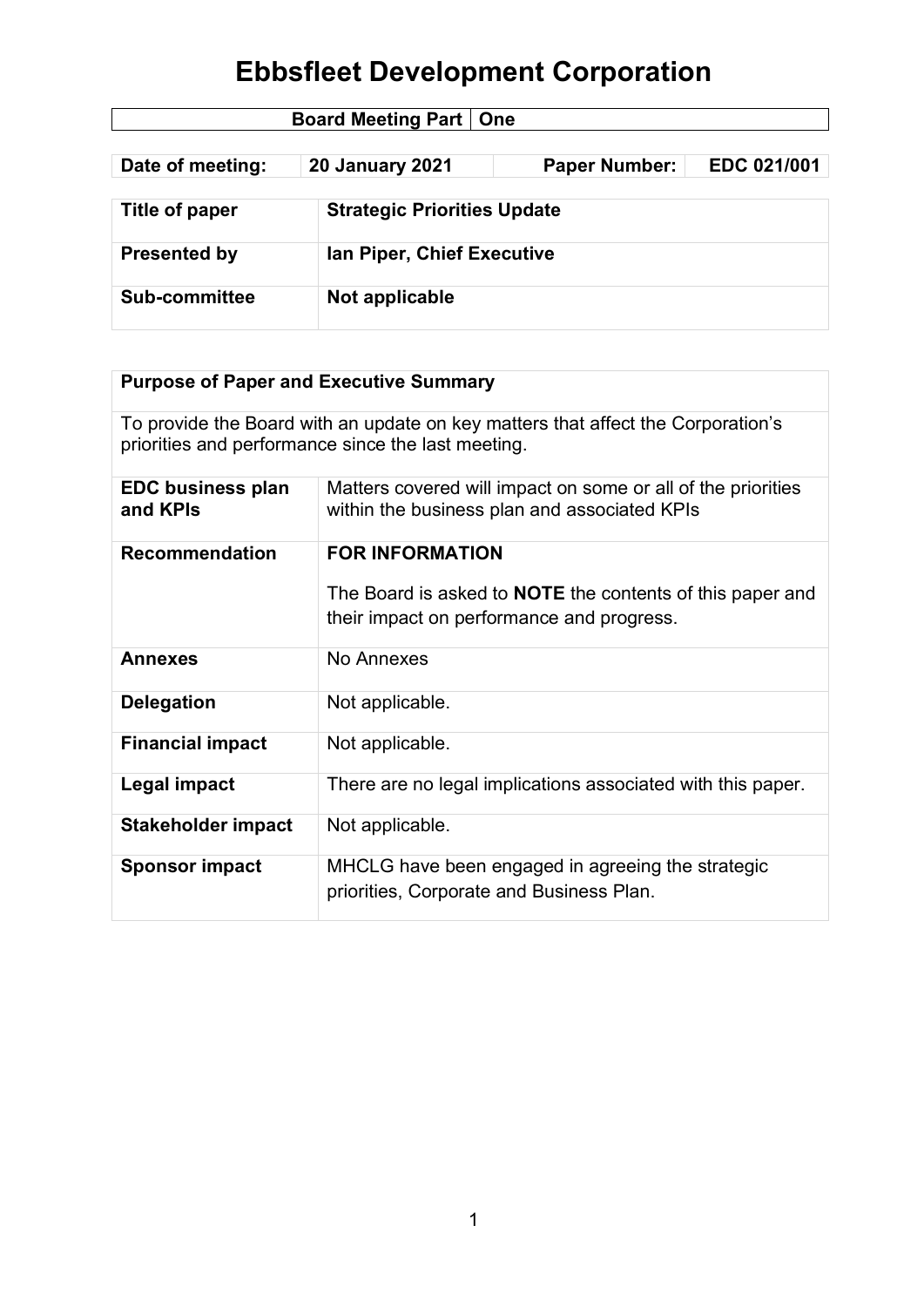| <b>Board Meeting Part   One</b> |                                    |                      |             |  |
|---------------------------------|------------------------------------|----------------------|-------------|--|
|                                 |                                    |                      |             |  |
| Date of meeting:                | <b>20 January 2021</b>             | <b>Paper Number:</b> | EDC 021/001 |  |
|                                 |                                    |                      |             |  |
| Title of paper                  | <b>Strategic Priorities Update</b> |                      |             |  |
|                                 |                                    |                      |             |  |
| <b>Presented by</b>             | Ian Piper, Chief Executive         |                      |             |  |
|                                 |                                    |                      |             |  |
| <b>Sub-committee</b>            | Not applicable                     |                      |             |  |
|                                 |                                    |                      |             |  |

| <b>Purpose of Paper and Executive Summary</b> |                                                                                                                                        |  |
|-----------------------------------------------|----------------------------------------------------------------------------------------------------------------------------------------|--|
|                                               | To provide the Board with an update on key matters that affect the Corporation's<br>priorities and performance since the last meeting. |  |
| <b>EDC business plan</b><br>and KPIs          | Matters covered will impact on some or all of the priorities<br>within the business plan and associated KPIs                           |  |
| <b>Recommendation</b>                         | <b>FOR INFORMATION</b>                                                                                                                 |  |
|                                               | The Board is asked to <b>NOTE</b> the contents of this paper and<br>their impact on performance and progress.                          |  |
| <b>Annexes</b>                                | No Annexes                                                                                                                             |  |
| <b>Delegation</b>                             | Not applicable.                                                                                                                        |  |
| <b>Financial impact</b>                       | Not applicable.                                                                                                                        |  |
| Legal impact                                  | There are no legal implications associated with this paper.                                                                            |  |
| <b>Stakeholder impact</b>                     | Not applicable.                                                                                                                        |  |
| <b>Sponsor impact</b>                         | MHCLG have been engaged in agreeing the strategic<br>priorities, Corporate and Business Plan.                                          |  |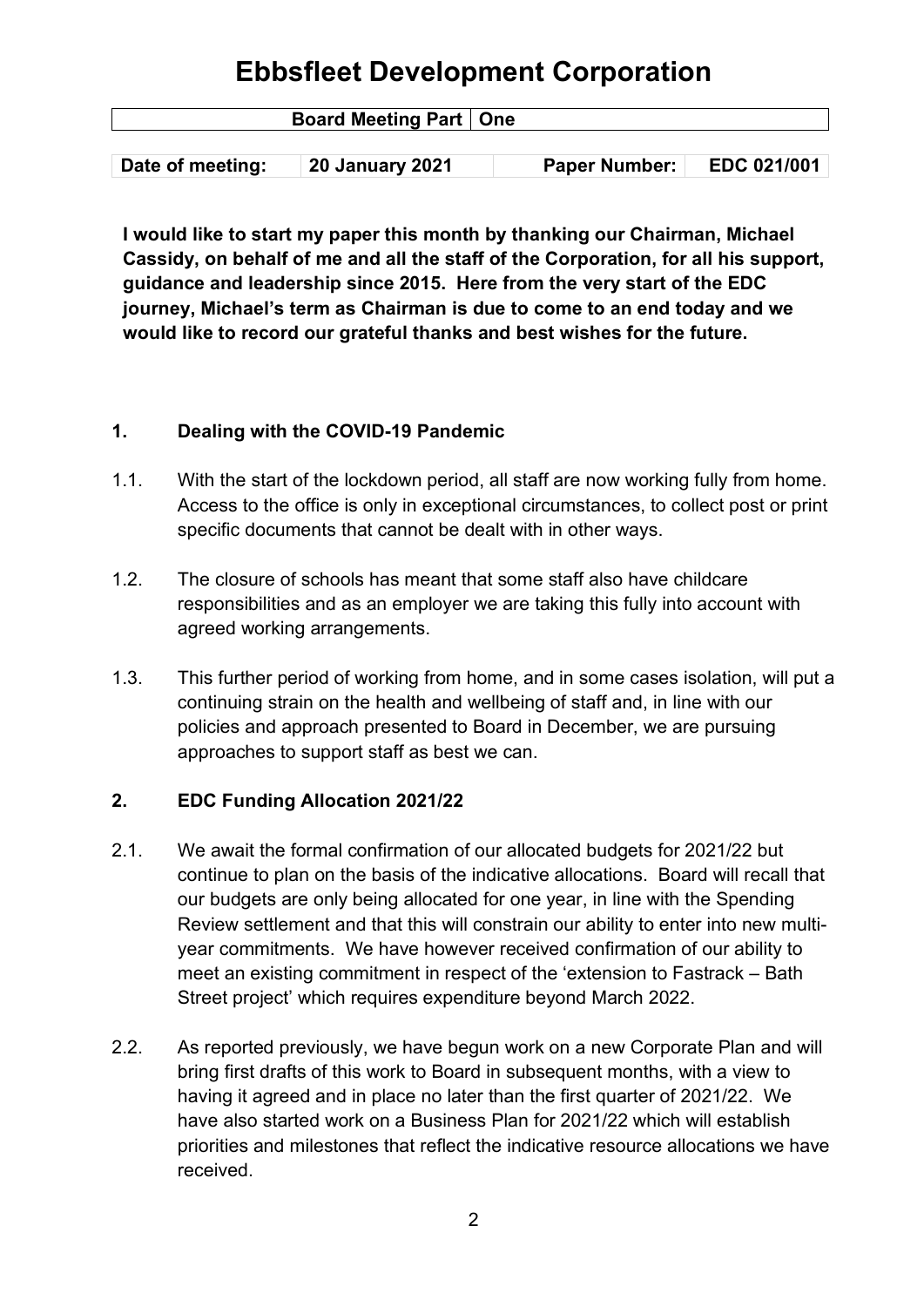| <b>Board Meeting Part   One</b> |                        |                      |             |  |
|---------------------------------|------------------------|----------------------|-------------|--|
|                                 |                        |                      |             |  |
| Date of meeting:                | <b>20 January 2021</b> | <b>Paper Number:</b> | EDC 021/001 |  |

**I would like to start my paper this month by thanking our Chairman, Michael Cassidy, on behalf of me and all the staff of the Corporation, for all his support, guidance and leadership since 2015. Here from the very start of the EDC journey, Michael's term as Chairman is due to come to an end today and we would like to record our grateful thanks and best wishes for the future.**

#### **1. Dealing with the COVID-19 Pandemic**

- 1.1. With the start of the lockdown period, all staff are now working fully from home. Access to the office is only in exceptional circumstances, to collect post or print specific documents that cannot be dealt with in other ways.
- 1.2. The closure of schools has meant that some staff also have childcare responsibilities and as an employer we are taking this fully into account with agreed working arrangements.
- 1.3. This further period of working from home, and in some cases isolation, will put a continuing strain on the health and wellbeing of staff and, in line with our policies and approach presented to Board in December, we are pursuing approaches to support staff as best we can.

### **2. EDC Funding Allocation 2021/22**

- 2.1. We await the formal confirmation of our allocated budgets for 2021/22 but continue to plan on the basis of the indicative allocations. Board will recall that our budgets are only being allocated for one year, in line with the Spending Review settlement and that this will constrain our ability to enter into new multiyear commitments. We have however received confirmation of our ability to meet an existing commitment in respect of the 'extension to Fastrack – Bath Street project' which requires expenditure beyond March 2022.
- 2.2. As reported previously, we have begun work on a new Corporate Plan and will bring first drafts of this work to Board in subsequent months, with a view to having it agreed and in place no later than the first quarter of 2021/22. We have also started work on a Business Plan for 2021/22 which will establish priorities and milestones that reflect the indicative resource allocations we have received.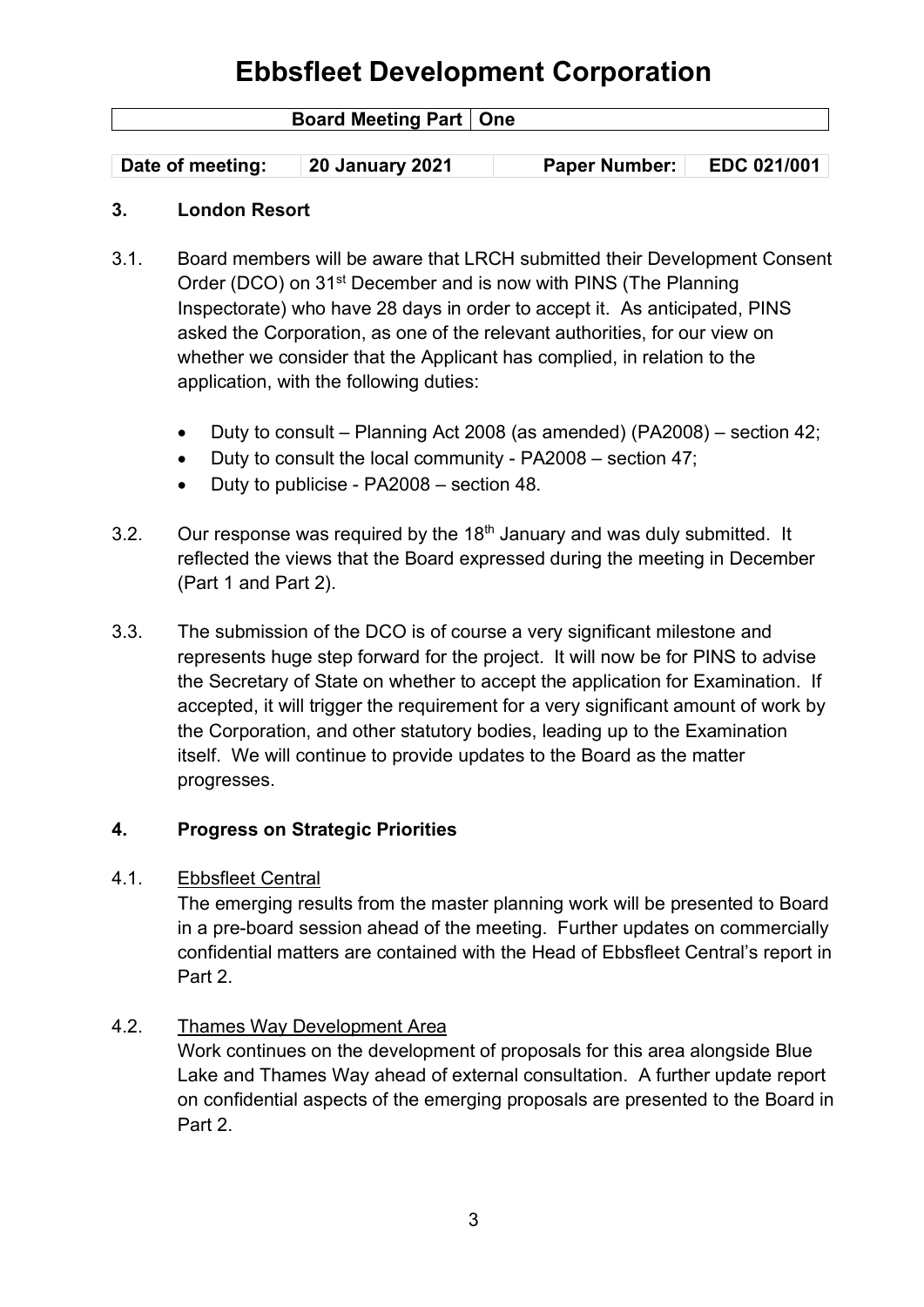| <b>Board Meeting Part   One</b> |                        |                      |             |
|---------------------------------|------------------------|----------------------|-------------|
|                                 |                        |                      |             |
| Date of meeting:                | <b>20 January 2021</b> | <b>Paper Number:</b> | EDC 021/001 |

#### **3. London Resort**

- 3.1. Board members will be aware that LRCH submitted their Development Consent Order (DCO) on 31<sup>st</sup> December and is now with PINS (The Planning Inspectorate) who have 28 days in order to accept it. As anticipated, PINS asked the Corporation, as one of the relevant authorities, for our view on whether we consider that the Applicant has complied, in relation to the application, with the following duties:
	- Duty to consult Planning Act 2008 (as amended) (PA2008) section 42;
	- Duty to consult the local community PA2008 section 47;
	- Duty to publicise PA2008 section 48.
- 3.2. Our response was required by the  $18<sup>th</sup>$  January and was duly submitted. It reflected the views that the Board expressed during the meeting in December (Part 1 and Part 2).
- 3.3. The submission of the DCO is of course a very significant milestone and represents huge step forward for the project. It will now be for PINS to advise the Secretary of State on whether to accept the application for Examination. If accepted, it will trigger the requirement for a very significant amount of work by the Corporation, and other statutory bodies, leading up to the Examination itself. We will continue to provide updates to the Board as the matter progresses.

#### **4. Progress on Strategic Priorities**

#### 4.1. Ebbsfleet Central

The emerging results from the master planning work will be presented to Board in a pre-board session ahead of the meeting. Further updates on commercially confidential matters are contained with the Head of Ebbsfleet Central's report in Part 2.

#### 4.2. Thames Way Development Area

Work continues on the development of proposals for this area alongside Blue Lake and Thames Way ahead of external consultation. A further update report on confidential aspects of the emerging proposals are presented to the Board in Part 2.